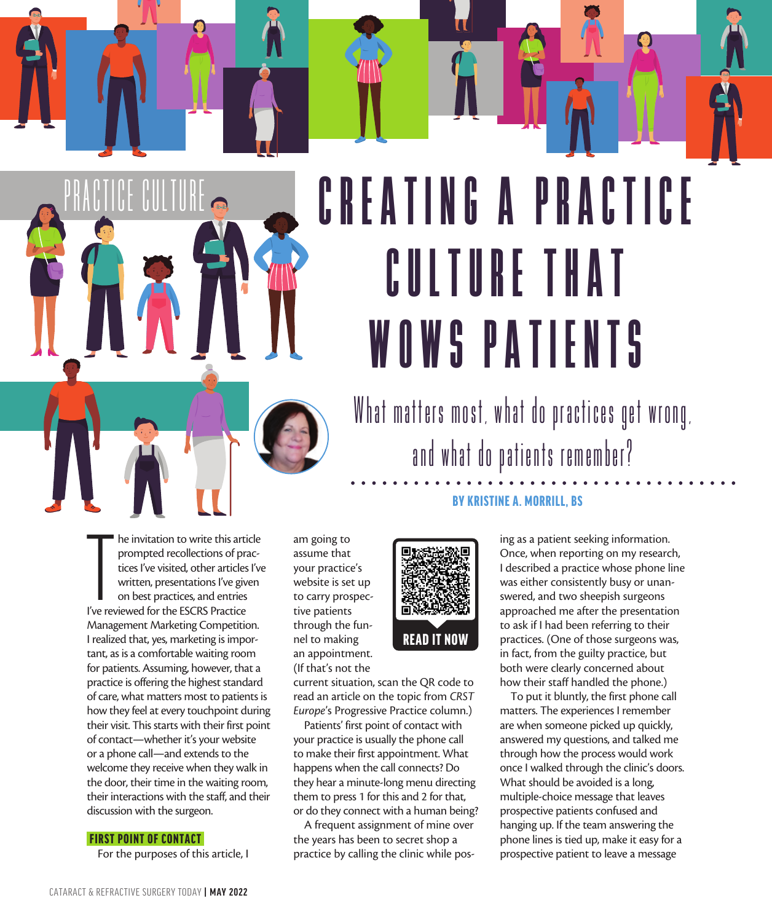# What matters most, what do practices get wrong, CREATING A PRACTICE CULTURE THAT WOWS PATIENTS

and what do patients remember?

#### BY KRISTINE A. MORRILL, BS

The invitation to write this artimeter of practices l've visited, other articles written, presentations l've give on best practices, and entries l've reviewed for the ESCRS Practice he invitation to write this article prompted recollections of practices I've visited, other articles I've written, presentations I've given on best practices, and entries Management Marketing Competition. I realized that, yes, marketing is important, as is a comfortable waiting room for patients. Assuming, however, that a practice is offering the highest standard of care, what matters most to patients is how they feel at every touchpoint during their visit. This starts with their first point of contact—whether it's your website or a phone call—and extends to the welcome they receive when they walk in the door, their time in the waiting room, their interactions with the staff, and their discussion with the surgeon.

#### FIRST POINT OF CONTACT

s PERFECT THE PATIENT LIFECYCLE

PRACTICE CULTURE

For the purposes of this article, I

am going to assume that your practice's website is set up to carry prospective patients through the funnel to making an appointment. (If that's not the



current situation, scan the QR code to read an article on the topic from *CRST Europe*'s Progressive Practice column.)

Patients' first point of contact with your practice is usually the phone call to make their first appointment. What happens when the call connects? Do they hear a minute-long menu directing them to press 1 for this and 2 for that, or do they connect with a human being?

A frequent assignment of mine over the years has been to secret shop a practice by calling the clinic while posing as a patient seeking information. Once, when reporting on my research, I described a practice whose phone line was either consistently busy or unanswered, and two sheepish surgeons approached me after the presentation to ask if I had been referring to their practices. (One of those surgeons was, in fact, from the guilty practice, but both were clearly concerned about how their staff handled the phone.)

 $\bigcirc$ 

To put it bluntly, the first phone call matters. The experiences I remember are when someone picked up quickly, answered my questions, and talked me through how the process would work once I walked through the clinic's doors. What should be avoided is a long, multiple-choice message that leaves prospective patients confused and hanging up. If the team answering the phone lines is tied up, make it easy for a prospective patient to leave a message